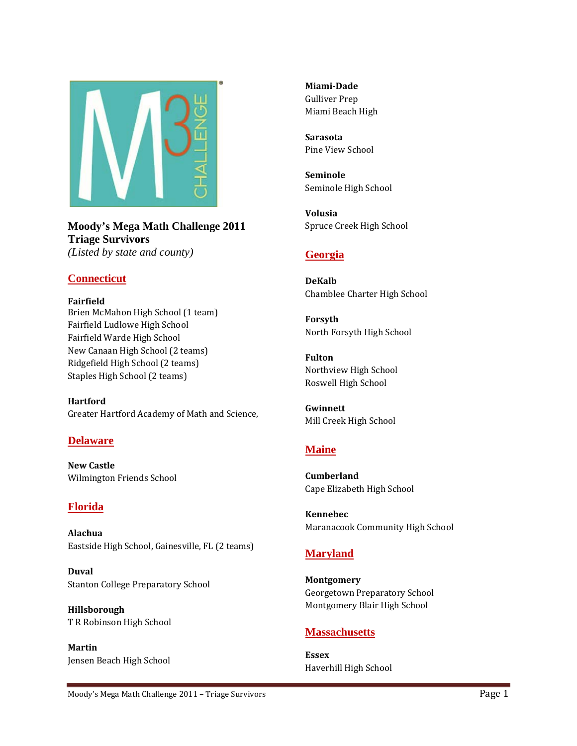

**Moody's Mega Math Challenge 2011 Triage Survivors**  *(Listed by state and county)* 

### **Connecticut**

**Fairfield** Brien McMahon High School (1 team) Fairfield Ludlowe High School Fairfield Warde High School New Canaan High School (2 teams) Ridgefield High School (2 teams) Staples High School (2 teams)

**Hartford**  Greater Hartford Academy of Math and Science,

### **Delaware**

**New Castle** Wilmington Friends School

### **Florida**

**Alachua** Eastside High School, Gainesville, FL (2 teams)

**Duval** Stanton College Preparatory School

**Hillsborough** T R Robinson High School

**Martin** Jensen Beach High School **MiamiDade** Gulliver Prep Miami Beach High

**Sarasota** Pine View School

**Seminole** Seminole High School

**Volusia** Spruce Creek High School

### **Georgia**

**DeKalb** Chamblee Charter High School

**Forsyth** North Forsyth High School

**Fulton** Northview High School Roswell High School

**Gwinnett** Mill Creek High School

# **Maine**

**Cumberland** Cape Elizabeth High School

**Kennebec** Maranacook Community High School

## **Maryland**

**Montgomery** Georgetown Preparatory School Montgomery Blair High School

### **Massachusetts**

**Essex** Haverhill High School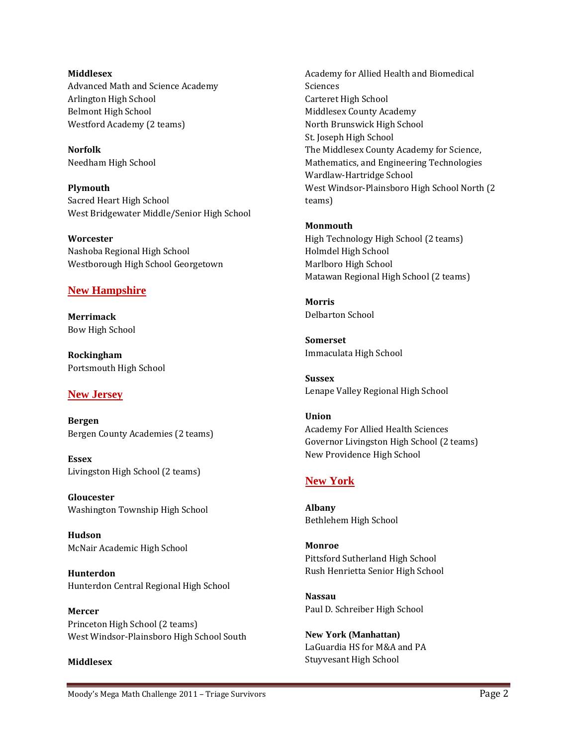**Middlesex** Advanced Math and Science Academy Arlington High School Belmont High School Westford Academy (2 teams)

**Norfolk** Needham High School

**Plymouth** Sacred Heart High School West Bridgewater Middle/Senior High School

**Worcester** Nashoba Regional High School Westborough High School Georgetown

### **New Hampshire**

**Merrimack** Bow High School

**Rockingham** Portsmouth High School

### **New Jersey**

**Bergen** Bergen County Academies (2 teams)

**Essex** Livingston High School (2 teams)

**Gloucester** Washington Township High School

**Hudson** McNair Academic High School

**Hunterdon** Hunterdon Central Regional High School

**Mercer** Princeton High School (2 teams) West Windsor‐Plainsboro High School South

#### **Middlesex**

Academy for Allied Health and Biomedical Sciences Carteret High School Middlesex County Academy North Brunswick High School St. Joseph High School The Middlesex County Academy for Science, Mathematics, and Engineering Technologies Wardlaw‐Hartridge School West Windsor‐Plainsboro High School North (2 teams)

#### **Monmouth**

High Technology High School (2 teams) Holmdel High School Marlboro High School Matawan Regional High School (2 teams)

**Morris** Delbarton School

**Somerset** Immaculata High School

**Sussex** Lenape Valley Regional High School

#### **Union**

Academy For Allied Health Sciences Governor Livingston High School (2 teams) New Providence High School

### **New York**

**Albany** Bethlehem High School

**Monroe** Pittsford Sutherland High School Rush Henrietta Senior High School

**Nassau** Paul D. Schreiber High School

**New York (Manhattan)** LaGuardia HS for M&A and PA Stuyvesant High School

Moody's Mega Math Challenge 2011 – Triage Survivors **Page 2011** – Page 2